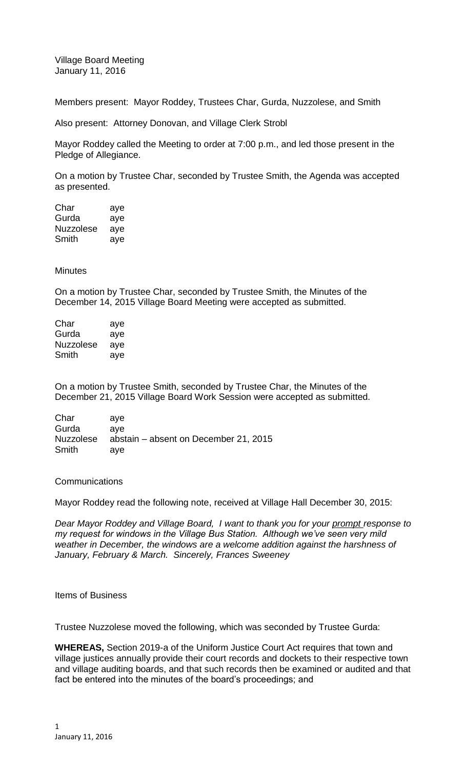Village Board Meeting January 11, 2016

Members present: Mayor Roddey, Trustees Char, Gurda, Nuzzolese, and Smith

Also present: Attorney Donovan, and Village Clerk Strobl

Mayor Roddey called the Meeting to order at 7:00 p.m., and led those present in the Pledge of Allegiance.

On a motion by Trustee Char, seconded by Trustee Smith, the Agenda was accepted as presented.

| Char             | aye |
|------------------|-----|
| Gurda            | aye |
| <b>Nuzzolese</b> | aye |
| Smith            | aye |

**Minutes** 

On a motion by Trustee Char, seconded by Trustee Smith, the Minutes of the December 14, 2015 Village Board Meeting were accepted as submitted.

| Char      | aye |
|-----------|-----|
| Gurda     | aye |
| Nuzzolese | aye |
| Smith     | aye |

On a motion by Trustee Smith, seconded by Trustee Char, the Minutes of the December 21, 2015 Village Board Work Session were accepted as submitted.

| Char      | ave                                   |
|-----------|---------------------------------------|
| Gurda     | ave                                   |
| Nuzzolese | abstain – absent on December 21, 2015 |
| Smith     | ave                                   |

## **Communications**

Mayor Roddey read the following note, received at Village Hall December 30, 2015:

*Dear Mayor Roddey and Village Board, I want to thank you for your prompt response to my request for windows in the Village Bus Station. Although we've seen very mild weather in December, the windows are a welcome addition against the harshness of January, February & March. Sincerely, Frances Sweeney*

## Items of Business

Trustee Nuzzolese moved the following, which was seconded by Trustee Gurda:

**WHEREAS,** Section 2019-a of the Uniform Justice Court Act requires that town and village justices annually provide their court records and dockets to their respective town and village auditing boards, and that such records then be examined or audited and that fact be entered into the minutes of the board's proceedings; and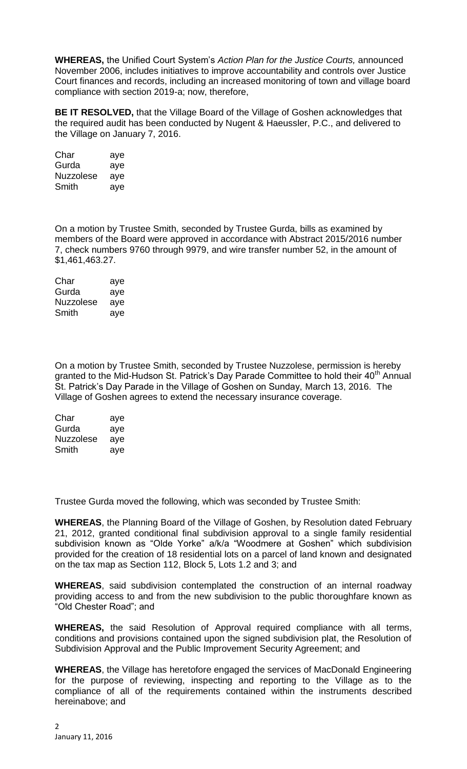**WHEREAS,** the Unified Court System's *Action Plan for the Justice Courts,* announced November 2006, includes initiatives to improve accountability and controls over Justice Court finances and records, including an increased monitoring of town and village board compliance with section 2019-a; now, therefore,

**BE IT RESOLVED,** that the Village Board of the Village of Goshen acknowledges that the required audit has been conducted by Nugent & Haeussler, P.C., and delivered to the Village on January 7, 2016.

| Char      | aye |
|-----------|-----|
| Gurda     | aye |
| Nuzzolese | aye |
| Smith     | aye |

On a motion by Trustee Smith, seconded by Trustee Gurda, bills as examined by members of the Board were approved in accordance with Abstract 2015/2016 number 7, check numbers 9760 through 9979, and wire transfer number 52, in the amount of \$1,461,463.27.

| Char             | aye |
|------------------|-----|
| Gurda            | aye |
| <b>Nuzzolese</b> | aye |
| Smith            | aye |

On a motion by Trustee Smith, seconded by Trustee Nuzzolese, permission is hereby granted to the Mid-Hudson St. Patrick's Day Parade Committee to hold their 40<sup>th</sup> Annual St. Patrick's Day Parade in the Village of Goshen on Sunday, March 13, 2016. The Village of Goshen agrees to extend the necessary insurance coverage.

| Char      | aye |
|-----------|-----|
| Gurda     | aye |
| Nuzzolese | aye |
| Smith     | ave |

Trustee Gurda moved the following, which was seconded by Trustee Smith:

**WHEREAS**, the Planning Board of the Village of Goshen, by Resolution dated February 21, 2012, granted conditional final subdivision approval to a single family residential subdivision known as "Olde Yorke" a/k/a "Woodmere at Goshen" which subdivision provided for the creation of 18 residential lots on a parcel of land known and designated on the tax map as Section 112, Block 5, Lots 1.2 and 3; and

**WHEREAS**, said subdivision contemplated the construction of an internal roadway providing access to and from the new subdivision to the public thoroughfare known as "Old Chester Road"; and

**WHEREAS,** the said Resolution of Approval required compliance with all terms, conditions and provisions contained upon the signed subdivision plat, the Resolution of Subdivision Approval and the Public Improvement Security Agreement; and

**WHEREAS**, the Village has heretofore engaged the services of MacDonald Engineering for the purpose of reviewing, inspecting and reporting to the Village as to the compliance of all of the requirements contained within the instruments described hereinabove; and